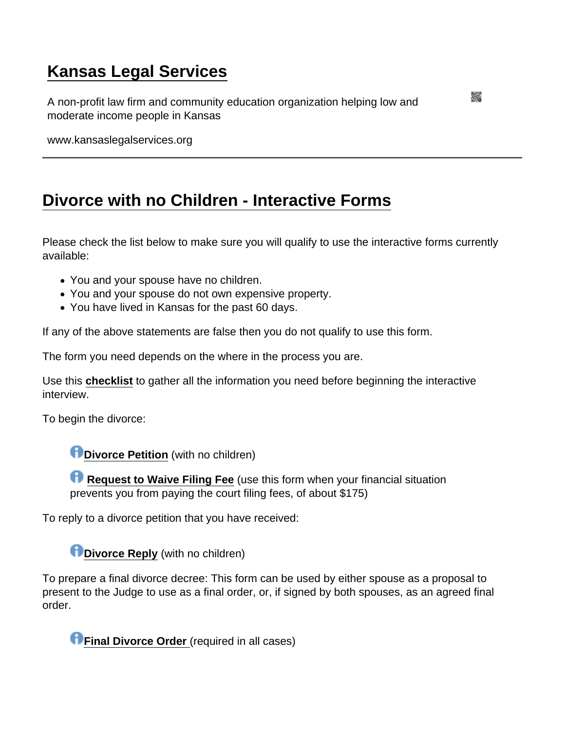## [Kansas Legal Services](https://www.kansaslegalservices.org/)

A non-profit law firm and community education organization helping low and moderate income people in Kansas

www.kansaslegalservices.org

## [Divorce with no Children - Interactive Forms](https://www.kansaslegalservices.org/node/1883/divorce-no-children-interactive-forms)

Please check the list below to make sure you will qualify to use the interactive forms currently available:

- You and your spouse have no children.
- You and your spouse do not own expensive property.
- You have lived in Kansas for the past 60 days.

If any of the above statements are false then you do not qualify to use this form.

The form you need depends on the where in the process you are.

Use this [checklist](http://www.kansaslegalservices.org/node/1054) to gather all the information you need before beginning the interactive interview.

To begin the divorce:

[Divorce Petition](https://lawhelpinteractive.org/login_form?template_id=template.2010-02-24.0141213978) (with no children)

[Request to Waive Filing Fee](https://lawhelpinteractive.org/Interview/GenerateInterview/2112/engine) (use this form when your financial situation prevents you from paying the court filing fees, of about \$175)

To reply to a divorce petition that you have received:

[Divorce Reply](https://lawhelpinteractive.org/login_form?template_id=template.2010-04-12.1130977131) (with no children)

To prepare a final divorce decree: This form can be used by either spouse as a proposal to present to the Judge to use as a final order, or, if signed by both spouses, as an agreed final order.

[Final Divorce Order](https://www.lawhelpinteractive.org/login_form?template_id=template.2010-04-19.6489432478&set_language=en) (required in all cases)